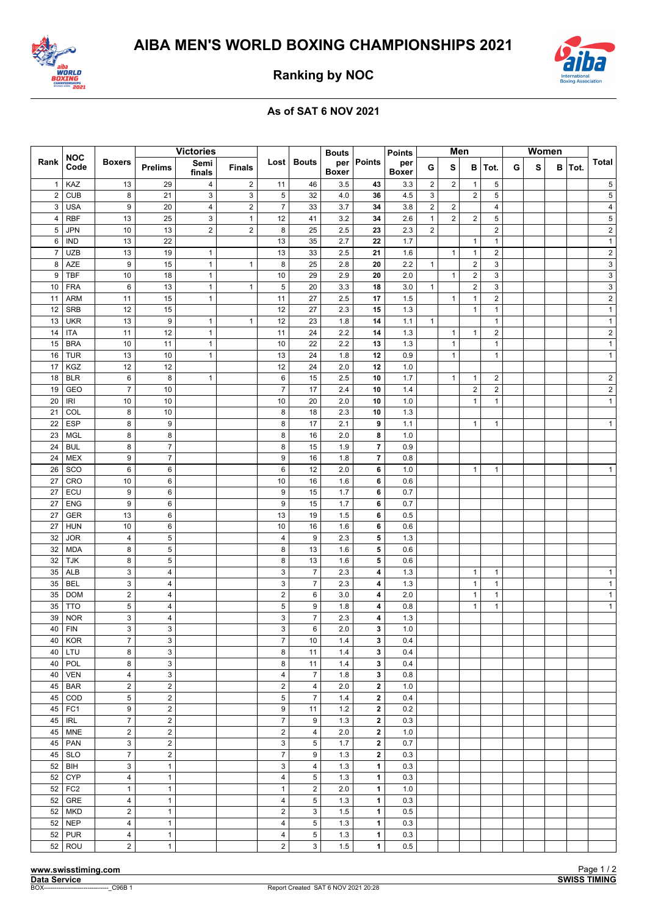



**Ranking by NOC**

## **As of SAT 6 NOV 2021**

|                | <b>NOC</b><br>Code | <b>Boxers</b>           | <b>Victories</b>        |                |                         |                           |                | <b>Bouts</b>        |                         | <b>Points</b>       | Men            |                |                | <b>Women</b>   |   |   |   |      |                         |
|----------------|--------------------|-------------------------|-------------------------|----------------|-------------------------|---------------------------|----------------|---------------------|-------------------------|---------------------|----------------|----------------|----------------|----------------|---|---|---|------|-------------------------|
| Rank           |                    |                         | <b>Prelims</b>          | Semi<br>finals | <b>Finals</b>           | Lost                      | <b>Bouts</b>   | per<br><b>Boxer</b> | Points                  | per<br><b>Boxer</b> | G              | S              | в              | ∣Tot.          | G | s | в | Tot. | <b>Total</b>            |
| $\mathbf{1}$   | KAZ                | 13                      | 29                      | 4              | $\overline{2}$          | 11                        | 46             | 3.5                 | 43                      | 3.3                 | 2              | $\overline{c}$ | $\mathbf{1}$   | 5              |   |   |   |      | 5                       |
| $\overline{2}$ | <b>CUB</b>         | 8                       | 21                      | 3              | 3                       | $\sqrt{5}$                | 32             | 4.0                 | 36                      | 4.5                 | 3              |                | $\overline{2}$ | 5              |   |   |   |      | 5                       |
| 3              | <b>USA</b>         | 9                       | 20                      | 4              | $\overline{\mathbf{c}}$ | $\overline{7}$            | 33             | 3.7                 | 34                      | 3.8                 | $\overline{2}$ | $\overline{2}$ |                | $\overline{4}$ |   |   |   |      | 4                       |
| 4              | <b>RBF</b>         | 13                      | 25                      | 3              | $\mathbf{1}$            | 12                        | 41             | 3.2                 | 34                      | 2.6                 | $\mathbf{1}$   | $\overline{2}$ | $\overline{2}$ | 5              |   |   |   |      | 5                       |
| 5              | <b>JPN</b>         | 10                      | 13                      | $\overline{2}$ | $\overline{2}$          | 8                         | 25             | 2.5                 | 23                      | 2.3                 | $\overline{2}$ |                |                | $\overline{c}$ |   |   |   |      | $\overline{c}$          |
| 6              | IND                | 13                      | 22                      |                |                         | 13                        | 35             | 2.7                 | 22                      | 1.7                 |                |                | $\mathbf{1}$   | $\mathbf{1}$   |   |   |   |      | $\mathbf{1}$            |
| $\overline{7}$ | <b>UZB</b>         | 13                      | 19                      | $\mathbf{1}$   |                         | 13                        | 33             | 2.5                 | 21                      | 1.6                 |                | $\mathbf{1}$   | $\mathbf{1}$   | $\overline{2}$ |   |   |   |      | $\overline{c}$          |
| 8              | AZE                | 9                       | 15                      | $\mathbf{1}$   | $\mathbf{1}$            | 8                         | 25             | 2.8                 | 20                      | 2.2                 | $\mathbf{1}$   |                | $\sqrt{2}$     | 3              |   |   |   |      | $\mathsf 3$             |
| 9              | TBF                | 10                      | 18                      | $\mathbf{1}$   |                         | 10                        | 29             | 2.9                 | 20                      | 2.0                 |                | $\mathbf{1}$   | 2              | 3              |   |   |   |      | 3                       |
| 10             | <b>FRA</b>         | 6                       | 13                      | $\mathbf{1}$   | $\mathbf{1}$            | $\mathbf 5$               | 20             | 3.3                 | 18                      | 3.0                 | $\mathbf{1}$   |                | $\sqrt{2}$     | $\mathsf 3$    |   |   |   |      | 3                       |
| 11             | <b>ARM</b>         | 11                      | 15                      | $\mathbf{1}$   |                         | 11                        | 27             | 2.5                 | 17                      | 1.5                 |                | $\mathbf{1}$   | $\mathbf{1}$   | $\sqrt{2}$     |   |   |   |      | $\overline{\mathbf{c}}$ |
| 12             | <b>SRB</b>         | 12                      | 15                      |                |                         | 12                        | 27             | 2.3                 | 15                      | 1.3                 |                |                | $\mathbf{1}$   | $\mathbf{1}$   |   |   |   |      | $\mathbf{1}$            |
| 13             | <b>UKR</b>         | 13                      | 9                       | 1              | $\mathbf{1}$            | 12                        | 23             | 1.8                 | 14                      | 1.1                 | $\mathbf{1}$   |                |                | $\mathbf{1}$   |   |   |   |      | $\mathbf{1}$            |
| 14             | ITA                | 11                      | 12                      | $\mathbf{1}$   |                         | 11                        | 24             | 2.2                 | 14                      | 1.3                 |                | $\mathbf{1}$   | $\mathbf{1}$   | $\overline{2}$ |   |   |   |      | $\overline{\mathbf{c}}$ |
| 15             | <b>BRA</b>         | 10                      | 11                      | $\mathbf{1}$   |                         | 10                        | 22             | 2.2                 | 13                      | 1.3                 |                | $\mathbf{1}$   |                | $\mathbf{1}$   |   |   |   |      | $\mathbf{1}$            |
| 16             | <b>TUR</b>         | 13                      | 10                      | $\mathbf{1}$   |                         | 13                        | 24             | 1.8                 | 12                      | 0.9                 |                | $\mathbf{1}$   |                | $\mathbf{1}$   |   |   |   |      | $\mathbf{1}$            |
| 17             | <b>KGZ</b>         | 12                      | 12                      |                |                         | 12                        | 24             | 2.0                 | 12                      | 1.0                 |                |                |                |                |   |   |   |      |                         |
| 18             | <b>BLR</b>         | 6                       | 8                       | 1              |                         | 6                         | 15             | 2.5                 | 10                      | 1.7                 |                | $\mathbf{1}$   | $\mathbf{1}$   | $\overline{2}$ |   |   |   |      | $\overline{\mathbf{c}}$ |
| 19             | GEO                | $\boldsymbol{7}$        | 10                      |                |                         | $\overline{7}$            | 17             | 2.4                 | 10                      | 1.4                 |                |                | $\overline{2}$ | $\overline{2}$ |   |   |   |      | $\overline{c}$          |
| 20             | IRI                | 10                      | 10                      |                |                         | 10                        | 20             | 2.0                 | 10                      | 1.0                 |                |                | $\mathbf{1}$   | $\mathbf{1}$   |   |   |   |      | $\mathbf{1}$            |
| 21             | COL                | 8                       | 10                      |                |                         | 8                         | 18             | 2.3                 | 10                      | 1.3                 |                |                |                |                |   |   |   |      |                         |
| 22             | <b>ESP</b>         | 8                       | 9                       |                |                         | 8                         | 17             | 2.1                 | 9                       | 1.1                 |                |                | $\mathbf{1}$   | $\mathbf{1}$   |   |   |   |      | $\mathbf{1}$            |
| 23             | <b>MGL</b>         | 8                       | 8                       |                |                         | 8                         | 16             | 2.0                 | 8                       | 1.0                 |                |                |                |                |   |   |   |      |                         |
| 24             | <b>BUL</b>         | 8                       | $\overline{7}$          |                |                         | 8                         | 15             | 1.9                 | $\overline{\mathbf{7}}$ | 0.9                 |                |                |                |                |   |   |   |      |                         |
| 24             | <b>MEX</b>         | 9                       | $\overline{7}$          |                |                         | 9                         | 16             | 1.8                 | $\overline{\mathbf{7}}$ | 0.8                 |                |                |                |                |   |   |   |      |                         |
| 26             | SCO                | 6                       | 6                       |                |                         | 6                         | 12             | 2.0                 | 6                       | 1.0                 |                |                | $\mathbf{1}$   | $\mathbf{1}$   |   |   |   |      | $\mathbf{1}$            |
| 27             | CRO                | 10                      | 6                       |                |                         | 10                        | 16             | 1.6                 | 6                       | 0.6                 |                |                |                |                |   |   |   |      |                         |
| 27             | ECU                | 9                       | 6                       |                |                         | 9                         | 15             | 1.7                 | 6                       | 0.7                 |                |                |                |                |   |   |   |      |                         |
| 27             | <b>ENG</b>         | 9                       | 6                       |                |                         | 9                         | 15             | 1.7                 | 6                       | 0.7                 |                |                |                |                |   |   |   |      |                         |
| 27             | <b>GER</b>         | 13                      | 6                       |                |                         | 13                        | 19             | 1.5                 | 6                       | 0.5                 |                |                |                |                |   |   |   |      |                         |
| 27             | <b>HUN</b>         | 10                      | 6                       |                |                         | 10                        | 16             | 1.6                 | 6                       | 0.6                 |                |                |                |                |   |   |   |      |                         |
| 32             | <b>JOR</b>         | $\overline{4}$          | $\,$ 5 $\,$             |                |                         | $\pmb{4}$                 | 9              | 2.3                 | 5                       | 1.3                 |                |                |                |                |   |   |   |      |                         |
| 32             | <b>MDA</b>         | 8                       | 5                       |                |                         | 8                         | 13             | 1.6                 | 5                       | 0.6                 |                |                |                |                |   |   |   |      |                         |
| 32             | <b>TJK</b>         | 8                       | $\,$ 5 $\,$             |                |                         | 8                         | 13             | 1.6                 | ${\bf 5}$               | 0.6                 |                |                |                |                |   |   |   |      |                         |
| 35             | <b>ALB</b>         | 3                       | $\overline{\mathbf{4}}$ |                |                         | $\ensuremath{\mathsf{3}}$ | $\overline{7}$ | 2.3                 | 4                       | 1.3                 |                |                | $\mathbf{1}$   | $\mathbf{1}$   |   |   |   |      | $\mathbf{1}$            |
| 35             | BEL                | 3                       | 4                       |                |                         | 3                         | $\overline{7}$ | 2.3                 | 4                       | 1.3                 |                |                | $\mathbf{1}$   | $\mathbf{1}$   |   |   |   |      | $\mathbf{1}$            |
| 35             | <b>DOM</b>         | $\overline{2}$          | 4                       |                |                         | $\sqrt{2}$                | 6              | 3.0                 | 4                       | 2.0                 |                |                | $\mathbf{1}$   | $\mathbf{1}$   |   |   |   |      | $\mathbf{1}$            |
| 35             | <b>TTO</b>         | $\sqrt{5}$              | $\overline{\mathbf{4}}$ |                |                         | $\mathbf 5$               | 9              | 1.8                 | 4                       | 0.8                 |                |                | $\mathbf{1}$   | $\mathbf{1}$   |   |   |   |      | $\mathbf{1}$            |
| 39             | <b>NOR</b>         | 3                       | $\overline{\mathbf{4}}$ |                |                         | $\mathsf 3$               | $\overline{7}$ | 2.3                 | 4                       | 1.3                 |                |                |                |                |   |   |   |      |                         |
| 40             | <b>FIN</b>         | 3                       | 3                       |                |                         | 3                         | 6              | 2.0                 | 3                       | 1.0                 |                |                |                |                |   |   |   |      |                         |
| 40             | <b>KOR</b>         | $\boldsymbol{7}$        | 3                       |                |                         | $\overline{7}$            | 10             | 1.4                 | 3                       | 0.4                 |                |                |                |                |   |   |   |      |                         |
| 40             | LTU                | 8                       | $\mathsf 3$             |                |                         | 8                         | 11             | 1.4                 | $\mathbf{3}$            | 0.4                 |                |                |                |                |   |   |   |      |                         |
| 40             | POL                | 8                       | $\mathsf 3$             |                |                         | 8                         | 11             | 1.4                 | 3                       | 0.4                 |                |                |                |                |   |   |   |      |                         |
| 40             | <b>VEN</b>         | $\overline{4}$          | 3                       |                |                         | $\overline{4}$            | $\overline{7}$ | 1.8                 | 3                       | 0.8                 |                |                |                |                |   |   |   |      |                         |
| 45             | <b>BAR</b>         | $\overline{2}$          | $\overline{2}$          |                |                         | $\overline{c}$            | $\overline{4}$ | 2.0                 | $\mathbf{2}$            | 1.0                 |                |                |                |                |   |   |   |      |                         |
| 45             | COD                | $\sqrt{5}$              | $\overline{2}$          |                |                         | $\sqrt{5}$                | $\overline{7}$ | 1.4                 | $\mathbf 2$             | 0.4                 |                |                |                |                |   |   |   |      |                         |
| 45             | FC <sub>1</sub>    | $\boldsymbol{9}$        | $\mathbf 2$             |                |                         | 9                         | 11             | 1.2                 | $\mathbf 2$             | 0.2                 |                |                |                |                |   |   |   |      |                         |
| 45             | IRL                | $\overline{7}$          | $\overline{2}$          |                |                         | $\overline{7}$            | 9              | 1.3                 | $\mathbf 2$             | 0.3                 |                |                |                |                |   |   |   |      |                         |
| 45             | <b>MNE</b>         | $\overline{2}$          | $\overline{2}$          |                |                         | $\overline{2}$            | $\overline{4}$ | 2.0                 | $\mathbf{2}$            | 1.0                 |                |                |                |                |   |   |   |      |                         |
| 45             | <b>PAN</b>         | 3                       | $\overline{2}$          |                |                         | $\mathsf 3$               | $\sqrt{5}$     | 1.7                 | $\bf 2$                 | 0.7                 |                |                |                |                |   |   |   |      |                         |
| 45             | <b>SLO</b>         | $\overline{7}$          | $\overline{2}$          |                |                         | $\overline{7}$            | 9              | 1.3                 | $\mathbf 2$             | 0.3                 |                |                |                |                |   |   |   |      |                         |
| 52             | BIH                | 3                       | $\mathbf{1}$            |                |                         | 3                         | 4              | 1.3                 | $\mathbf{1}$            | 0.3                 |                |                |                |                |   |   |   |      |                         |
| 52             | <b>CYP</b>         | $\sqrt{4}$              | $\mathbf{1}$            |                |                         | $\overline{\mathbf{4}}$   | 5              | 1.3                 | $\mathbf{1}$            | 0.3                 |                |                |                |                |   |   |   |      |                         |
| 52             | FC <sub>2</sub>    | $\mathbf{1}$            | $\mathbf{1}$            |                |                         | $\mathbf{1}$              | $\overline{2}$ | 2.0                 | $\mathbf{1}$            | 1.0                 |                |                |                |                |   |   |   |      |                         |
| 52             | GRE                | $\overline{\mathbf{4}}$ | $\mathbf{1}$            |                |                         | $\overline{\mathbf{4}}$   | 5              | 1.3                 | $\mathbf{1}$            | 0.3                 |                |                |                |                |   |   |   |      |                         |
| 52             | <b>MKD</b>         | $\overline{2}$          | $\mathbf{1}$            |                |                         | $\overline{c}$            | 3              | 1.5                 | $\mathbf{1}$            | 0.5                 |                |                |                |                |   |   |   |      |                         |
| 52             | <b>NEP</b>         | $\sqrt{4}$              | $\mathbf{1}$            |                |                         | $\overline{\mathbf{4}}$   | 5              | 1.3                 | $\mathbf{1}$            | 0.3                 |                |                |                |                |   |   |   |      |                         |
| 52             | <b>PUR</b>         | $\overline{4}$          | $\mathbf{1}$            |                |                         | $\overline{\mathbf{4}}$   | 5              | 1.3                 | $\mathbf{1}$            | 0.3                 |                |                |                |                |   |   |   |      |                         |
| 52             | ROU                | $\overline{2}$          | $\mathbf{1}$            |                |                         | $\overline{c}$            | 3              | 1.5                 | $\mathbf{1}$            | 0.5                 |                |                |                |                |   |   |   |      |                         |